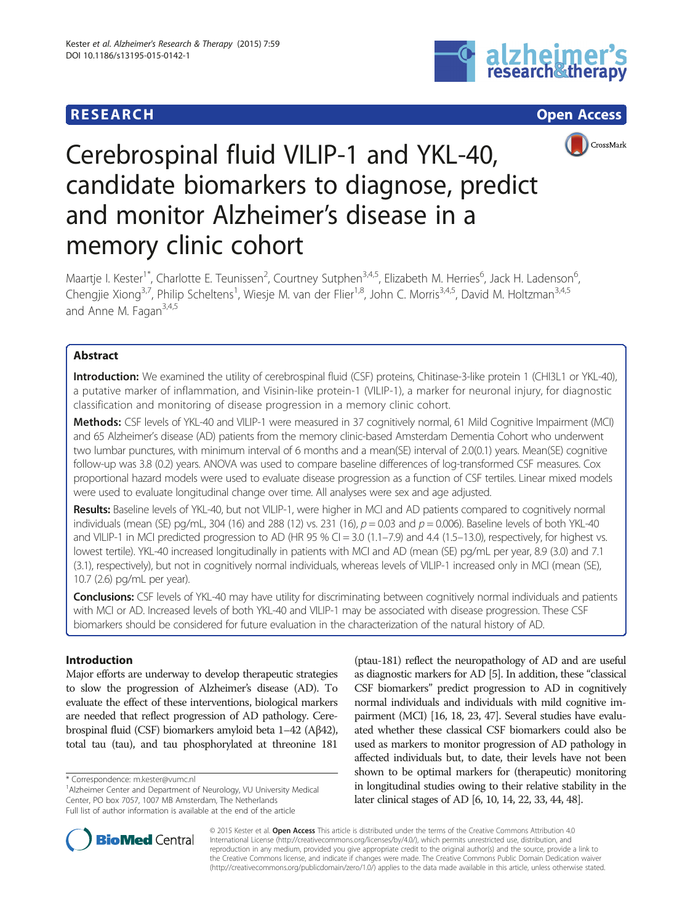## **RESEARCH CHE Open Access**





# Cerebrospinal fluid VILIP-1 and YKL-40, candidate biomarkers to diagnose, predict and monitor Alzheimer's disease in a memory clinic cohort

Maartje I. Kester<sup>1\*</sup>, Charlotte E. Teunissen<sup>2</sup>, Courtney Sutphen<sup>3,4,5</sup>, Elizabeth M. Herries<sup>6</sup>, Jack H. Ladenson<sup>6</sup> , Chengjie Xiong<sup>3,7</sup>, Philip Scheltens<sup>1</sup>, Wiesje M. van der Flier<sup>1,8</sup>, John C. Morris<sup>3,4,5</sup>, David M. Holtzman<sup>3,4,5</sup> and Anne M. Fagan $3,4,5$ 

## Abstract

Introduction: We examined the utility of cerebrospinal fluid (CSF) proteins, Chitinase-3-like protein 1 (CHI3L1 or YKL-40), a putative marker of inflammation, and Visinin-like protein-1 (VILIP-1), a marker for neuronal injury, for diagnostic classification and monitoring of disease progression in a memory clinic cohort.

Methods: CSF levels of YKL-40 and VILIP-1 were measured in 37 cognitively normal, 61 Mild Cognitive Impairment (MCI) and 65 Alzheimer's disease (AD) patients from the memory clinic-based Amsterdam Dementia Cohort who underwent two lumbar punctures, with minimum interval of 6 months and a mean(SE) interval of 2.0(0.1) years. Mean(SE) cognitive follow-up was 3.8 (0.2) years. ANOVA was used to compare baseline differences of log-transformed CSF measures. Cox proportional hazard models were used to evaluate disease progression as a function of CSF tertiles. Linear mixed models were used to evaluate longitudinal change over time. All analyses were sex and age adjusted.

Results: Baseline levels of YKL-40, but not VILIP-1, were higher in MCI and AD patients compared to cognitively normal individuals (mean (SE) pg/mL, 304 (16) and 288 (12) vs. 231 (16),  $p = 0.03$  and  $p = 0.006$ ). Baseline levels of both YKL-40 and VILIP-1 in MCI predicted progression to AD (HR 95 % CI = 3.0 (1.1–7.9) and 4.4 (1.5–13.0), respectively, for highest vs. lowest tertile). YKL-40 increased longitudinally in patients with MCI and AD (mean (SE) pg/mL per year, 8.9 (3.0) and 7.1 (3.1), respectively), but not in cognitively normal individuals, whereas levels of VILIP-1 increased only in MCI (mean (SE), 10.7 (2.6) pg/mL per year).

Conclusions: CSF levels of YKL-40 may have utility for discriminating between cognitively normal individuals and patients with MCI or AD. Increased levels of both YKL-40 and VILIP-1 may be associated with disease progression. These CSF biomarkers should be considered for future evaluation in the characterization of the natural history of AD.

## Introduction

Major efforts are underway to develop therapeutic strategies to slow the progression of Alzheimer's disease (AD). To evaluate the effect of these interventions, biological markers are needed that reflect progression of AD pathology. Cerebrospinal fluid (CSF) biomarkers amyloid beta 1–42 (Aβ42), total tau (tau), and tau phosphorylated at threonine 181

(ptau-181) reflect the neuropathology of AD and are useful as diagnostic markers for AD [\[5\]](#page-7-0). In addition, these "classical CSF biomarkers" predict progression to AD in cognitively normal individuals and individuals with mild cognitive impairment (MCI) [\[16, 18, 23](#page-7-0), [47\]](#page-8-0). Several studies have evaluated whether these classical CSF biomarkers could also be used as markers to monitor progression of AD pathology in affected individuals but, to date, their levels have not been shown to be optimal markers for (therapeutic) monitoring in longitudinal studies owing to their relative stability in the later clinical stages of AD [\[6](#page-7-0), [10](#page-7-0), [14, 22,](#page-7-0) [33, 44](#page-8-0), [48](#page-8-0)].



© 2015 Kester et al. Open Access This article is distributed under the terms of the Creative Commons Attribution 4.0 International License [\(http://creativecommons.org/licenses/by/4.0/](http://creativecommons.org/licenses/by/4.0/)), which permits unrestricted use, distribution, and reproduction in any medium, provided you give appropriate credit to the original author(s) and the source, provide a link to the Creative Commons license, and indicate if changes were made. The Creative Commons Public Domain Dedication waiver [\(http://creativecommons.org/publicdomain/zero/1.0/](http://creativecommons.org/publicdomain/zero/1.0/)) applies to the data made available in this article, unless otherwise stated.

<sup>\*</sup> Correspondence: [m.kester@vumc.nl](mailto:m.kester@vumc.nl) <sup>1</sup>

<sup>&</sup>lt;sup>1</sup> Alzheimer Center and Department of Neurology, VU University Medical Center, PO box 7057, 1007 MB Amsterdam, The Netherlands Full list of author information is available at the end of the article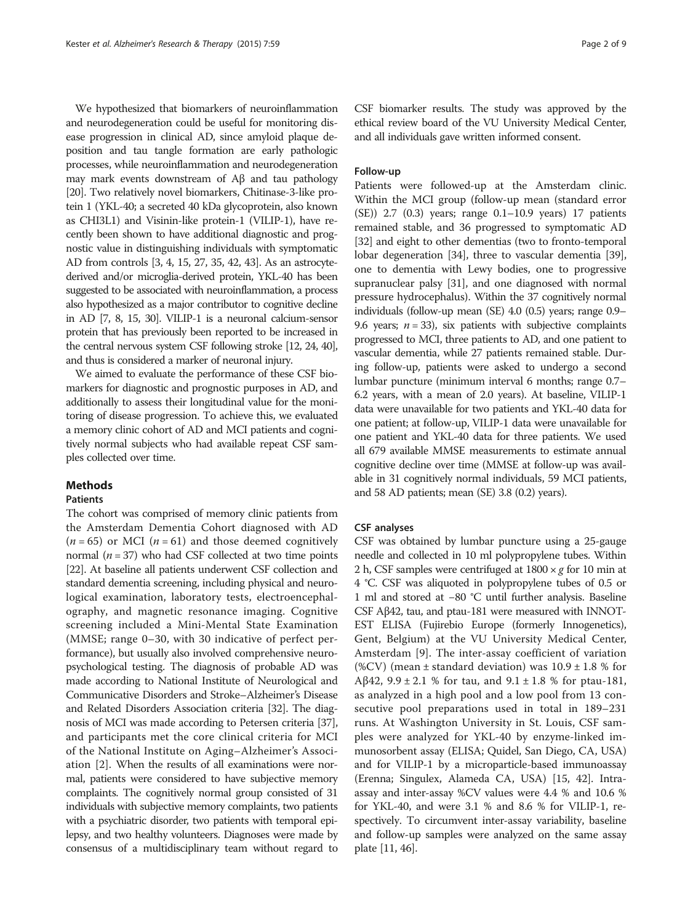We hypothesized that biomarkers of neuroinflammation and neurodegeneration could be useful for monitoring disease progression in clinical AD, since amyloid plaque deposition and tau tangle formation are early pathologic processes, while neuroinflammation and neurodegeneration may mark events downstream of Aβ and tau pathology [[20](#page-7-0)]. Two relatively novel biomarkers, Chitinase-3-like protein 1 (YKL-40; a secreted 40 kDa glycoprotein, also known as CHI3L1) and Visinin-like protein-1 (VILIP-1), have recently been shown to have additional diagnostic and prognostic value in distinguishing individuals with symptomatic AD from controls [\[3, 4, 15](#page-7-0), [27](#page-8-0), [35, 42](#page-8-0), [43\]](#page-8-0). As an astrocytederived and/or microglia-derived protein, YKL-40 has been suggested to be associated with neuroinflammation, a process also hypothesized as a major contributor to cognitive decline in AD [[7](#page-7-0), [8, 15,](#page-7-0) [30\]](#page-8-0). VILIP-1 is a neuronal calcium-sensor protein that has previously been reported to be increased in the central nervous system CSF following stroke [\[12](#page-7-0), [24,](#page-7-0) [40\]](#page-8-0), and thus is considered a marker of neuronal injury.

We aimed to evaluate the performance of these CSF biomarkers for diagnostic and prognostic purposes in AD, and additionally to assess their longitudinal value for the monitoring of disease progression. To achieve this, we evaluated a memory clinic cohort of AD and MCI patients and cognitively normal subjects who had available repeat CSF samples collected over time.

## Methods

## Patients

The cohort was comprised of memory clinic patients from the Amsterdam Dementia Cohort diagnosed with AD  $(n = 65)$  or MCI  $(n = 61)$  and those deemed cognitively normal  $(n = 37)$  who had CSF collected at two time points [[22](#page-7-0)]. At baseline all patients underwent CSF collection and standard dementia screening, including physical and neurological examination, laboratory tests, electroencephalography, and magnetic resonance imaging. Cognitive screening included a Mini-Mental State Examination (MMSE; range 0–30, with 30 indicative of perfect performance), but usually also involved comprehensive neuropsychological testing. The diagnosis of probable AD was made according to National Institute of Neurological and Communicative Disorders and Stroke–Alzheimer's Disease and Related Disorders Association criteria [\[32\]](#page-8-0). The diagnosis of MCI was made according to Petersen criteria [\[37](#page-8-0)], and participants met the core clinical criteria for MCI of the National Institute on Aging–Alzheimer's Association [\[2](#page-7-0)]. When the results of all examinations were normal, patients were considered to have subjective memory complaints. The cognitively normal group consisted of 31 individuals with subjective memory complaints, two patients with a psychiatric disorder, two patients with temporal epilepsy, and two healthy volunteers. Diagnoses were made by consensus of a multidisciplinary team without regard to

CSF biomarker results. The study was approved by the ethical review board of the VU University Medical Center, and all individuals gave written informed consent.

## Follow-up

Patients were followed-up at the Amsterdam clinic. Within the MCI group (follow-up mean (standard error (SE)) 2.7 (0.3) years; range 0.1–10.9 years) 17 patients remained stable, and 36 progressed to symptomatic AD [[32](#page-8-0)] and eight to other dementias (two to fronto-temporal lobar degeneration [\[34\]](#page-8-0), three to vascular dementia [[39](#page-8-0)], one to dementia with Lewy bodies, one to progressive supranuclear palsy [\[31](#page-8-0)], and one diagnosed with normal pressure hydrocephalus). Within the 37 cognitively normal individuals (follow-up mean (SE) 4.0 (0.5) years; range 0.9– 9.6 years;  $n = 33$ ), six patients with subjective complaints progressed to MCI, three patients to AD, and one patient to vascular dementia, while 27 patients remained stable. During follow-up, patients were asked to undergo a second lumbar puncture (minimum interval 6 months; range 0.7– 6.2 years, with a mean of 2.0 years). At baseline, VILIP-1 data were unavailable for two patients and YKL-40 data for one patient; at follow-up, VILIP-1 data were unavailable for one patient and YKL-40 data for three patients. We used all 679 available MMSE measurements to estimate annual cognitive decline over time (MMSE at follow-up was available in 31 cognitively normal individuals, 59 MCI patients, and 58 AD patients; mean (SE) 3.8 (0.2) years).

## CSF analyses

CSF was obtained by lumbar puncture using a 25-gauge needle and collected in 10 ml polypropylene tubes. Within 2 h, CSF samples were centrifuged at  $1800 \times g$  for 10 min at 4 °C. CSF was aliquoted in polypropylene tubes of 0.5 or 1 ml and stored at −80 °C until further analysis. Baseline CSF Aβ42, tau, and ptau-181 were measured with INNOT-EST ELISA (Fujirebio Europe (formerly Innogenetics), Gent, Belgium) at the VU University Medical Center, Amsterdam [[9](#page-7-0)]. The inter-assay coefficient of variation (%CV) (mean  $\pm$  standard deviation) was  $10.9 \pm 1.8$  % for Aβ42, 9.9  $\pm$  2.1 % for tau, and 9.1  $\pm$  1.8 % for ptau-181, as analyzed in a high pool and a low pool from 13 consecutive pool preparations used in total in 189–231 runs. At Washington University in St. Louis, CSF samples were analyzed for YKL-40 by enzyme-linked immunosorbent assay (ELISA; Quidel, San Diego, CA, USA) and for VILIP-1 by a microparticle-based immunoassay (Erenna; Singulex, Alameda CA, USA) [\[15,](#page-7-0) [42\]](#page-8-0). Intraassay and inter-assay %CV values were 4.4 % and 10.6 % for YKL-40, and were 3.1 % and 8.6 % for VILIP-1, respectively. To circumvent inter-assay variability, baseline and follow-up samples were analyzed on the same assay plate [[11](#page-7-0), [46\]](#page-8-0).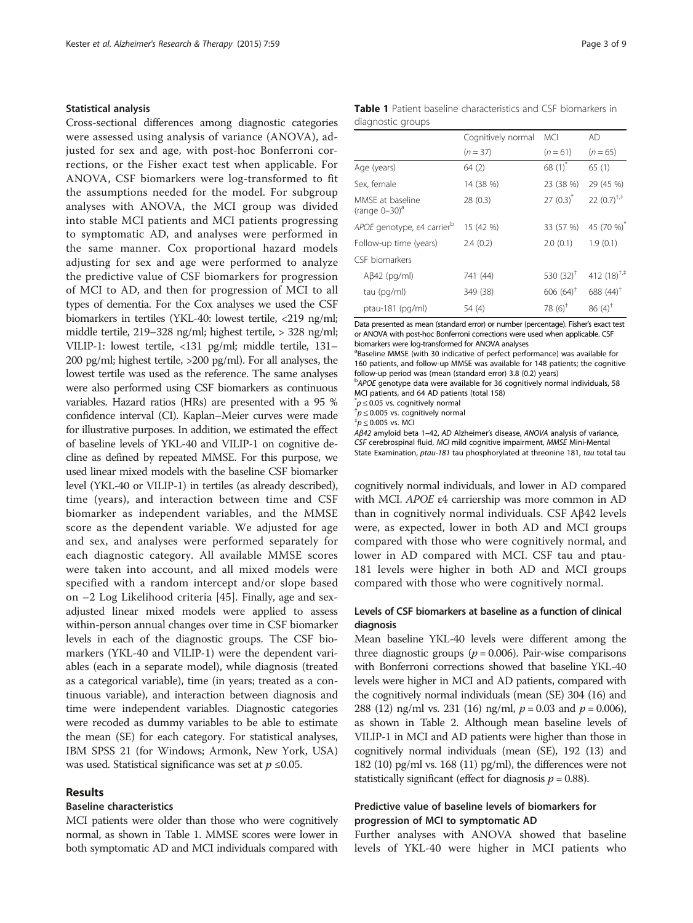#### Statistical analysis

Cross-sectional differences among diagnostic categories were assessed using analysis of variance (ANOVA), adjusted for sex and age, with post-hoc Bonferroni corrections, or the Fisher exact test when applicable. For ANOVA, CSF biomarkers were log-transformed to fit the assumptions needed for the model. For subgroup analyses with ANOVA, the MCI group was divided into stable MCI patients and MCI patients progressing to symptomatic AD, and analyses were performed in the same manner. Cox proportional hazard models adjusting for sex and age were performed to analyze the predictive value of CSF biomarkers for progression of MCI to AD, and then for progression of MCI to all types of dementia. For the Cox analyses we used the CSF biomarkers in tertiles (YKL-40: lowest tertile, <219 ng/ml; middle tertile, 219–328 ng/ml; highest tertile, > 328 ng/ml; VILIP-1: lowest tertile, <131 pg/ml; middle tertile, 131– 200 pg/ml; highest tertile, >200 pg/ml). For all analyses, the lowest tertile was used as the reference. The same analyses were also performed using CSF biomarkers as continuous variables. Hazard ratios (HRs) are presented with a 95 % confidence interval (CI). Kaplan–Meier curves were made for illustrative purposes. In addition, we estimated the effect of baseline levels of YKL-40 and VILIP-1 on cognitive decline as defined by repeated MMSE. For this purpose, we used linear mixed models with the baseline CSF biomarker level (YKL-40 or VILIP-1) in tertiles (as already described), time (years), and interaction between time and CSF biomarker as independent variables, and the MMSE score as the dependent variable. We adjusted for age and sex, and analyses were performed separately for each diagnostic category. All available MMSE scores were taken into account, and all mixed models were specified with a random intercept and/or slope based on –2 Log Likelihood criteria [[45](#page-8-0)]. Finally, age and sexadjusted linear mixed models were applied to assess within-person annual changes over time in CSF biomarker levels in each of the diagnostic groups. The CSF biomarkers (YKL-40 and VILIP-1) were the dependent variables (each in a separate model), while diagnosis (treated as a categorical variable), time (in years; treated as a continuous variable), and interaction between diagnosis and time were independent variables. Diagnostic categories were recoded as dummy variables to be able to estimate the mean (SE) for each category. For statistical analyses, IBM SPSS 21 (for Windows; Armonk, New York, USA) was used. Statistical significance was set at  $p \leq 0.05$ .

## Results

## Baseline characteristics

MCI patients were older than those who were cognitively normal, as shown in Table 1. MMSE scores were lower in both symptomatic AD and MCI individuals compared with

|                   |  | <b>Table 1</b> Patient baseline characteristics and CSF biomarkers in |  |  |
|-------------------|--|-----------------------------------------------------------------------|--|--|
| diagnostic groups |  |                                                                       |  |  |

|                                                  | Cognitively normal | <b>MCI</b>         | AD                      |  |
|--------------------------------------------------|--------------------|--------------------|-------------------------|--|
|                                                  | $(n=37)$           | $(n=61)$           | $(n=65)$                |  |
| Age (years)                                      | 64(2)              | 68 $(1)^{*}$       | 65(1)                   |  |
| Sex, female                                      | 14 (38 %)          | 23 (38 %)          | 29 (45 %)               |  |
| MMSE at baseline<br>(range $0-30$ ) <sup>a</sup> | 28(0.3)            | $27(0.3)^{r}$      | 22 $(0.7)^{+,+}$        |  |
| APOE genotype, ε4 carrier <sup>b</sup>           | 15 (42 %)          | 33 (57 %)          | 45 (70 %) <sup>*</sup>  |  |
| Follow-up time (years)                           | 2.4(0.2)           | 2.0(0.1)           | 1.9(0.1)                |  |
| CSF biomarkers                                   |                    |                    |                         |  |
| $A\beta$ 42 (pg/ml)                              | 741 (44)           | 530 $(32)^{T}$     | 412 $(18)^{+,+}$        |  |
| tau (pg/ml)                                      | 349 (38)           | $606(64)^+$        | 688 $(44)$ <sup>†</sup> |  |
| ptau-181 (pg/ml)                                 | 54 (4)             | 78 $(6)^{\dagger}$ | $86(4)^{†}$             |  |

Data presented as mean (standard error) or number (percentage). Fisher's exact test or ANOVA with post-hoc Bonferroni corrections were used when applicable. CSF biomarkers were log-transformed for ANOVA analyses

<sup>a</sup>Baseline MMSE (with 30 indicative of perfect performance) was available for 160 patients, and follow-up MMSE was available for 148 patients; the cognitive follow-up period was (mean (standard error) 3.8 (0.2) years)

<sup>b</sup>APOE genotype data were available for 36 cognitively normal individuals, 58 MCI patients, and 64 AD patients (total 158)

 $p \leq 0.05$  vs. cognitively normal<br> $p \leq 0.005$  vs. cognitively normal

 $p \leq 0.005$  vs. cognitively normal

 $\sigma^*$ p < 0.005 vs. MCI

Aβ42 amyloid beta 1–42, AD Alzheimer's disease, ANOVA analysis of variance, CSF cerebrospinal fluid, MCI mild cognitive impairment, MMSE Mini-Mental State Examination, ptau-181 tau phosphorylated at threonine 181, tau total tau

cognitively normal individuals, and lower in AD compared with MCI. APOE <sup>ε</sup>4 carriership was more common in AD than in cognitively normal individuals. CSF Aβ42 levels were, as expected, lower in both AD and MCI groups compared with those who were cognitively normal, and lower in AD compared with MCI. CSF tau and ptau-181 levels were higher in both AD and MCI groups compared with those who were cognitively normal.

## Levels of CSF biomarkers at baseline as a function of clinical diagnosis

Mean baseline YKL-40 levels were different among the three diagnostic groups ( $p = 0.006$ ). Pair-wise comparisons with Bonferroni corrections showed that baseline YKL-40 levels were higher in MCI and AD patients, compared with the cognitively normal individuals (mean (SE) 304 (16) and 288 (12) ng/ml vs. 231 (16) ng/ml,  $p = 0.03$  and  $p = 0.006$ ), as shown in Table [2](#page-3-0). Although mean baseline levels of VILIP-1 in MCI and AD patients were higher than those in cognitively normal individuals (mean (SE), 192 (13) and 182 (10) pg/ml vs. 168 (11) pg/ml), the differences were not statistically significant (effect for diagnosis  $p = 0.88$ ).

## Predictive value of baseline levels of biomarkers for progression of MCI to symptomatic AD

Further analyses with ANOVA showed that baseline levels of YKL-40 were higher in MCI patients who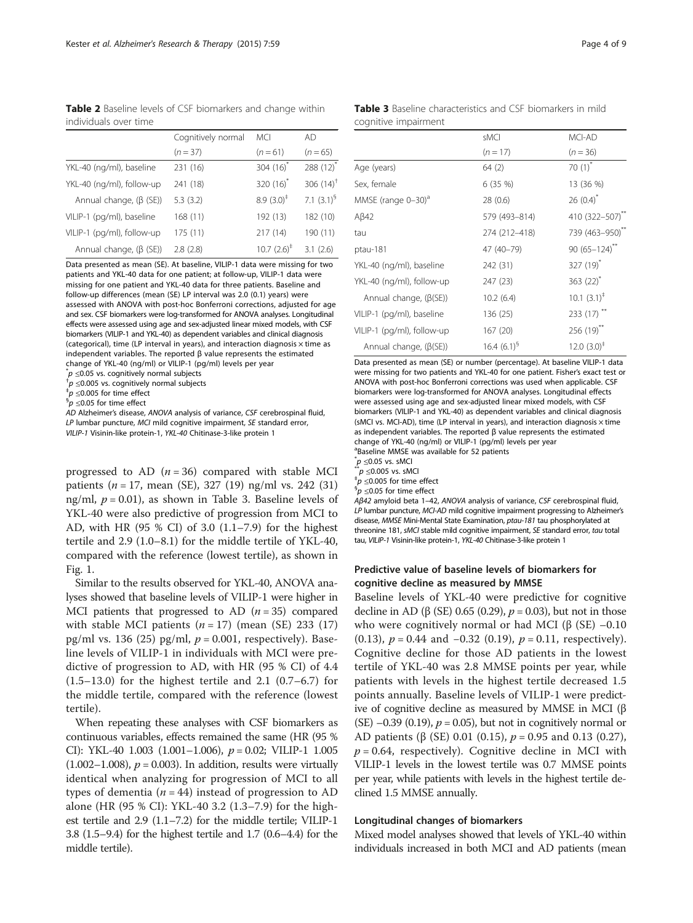<span id="page-3-0"></span>Table 2 Baseline levels of CSF biomarkers and change within individuals over time

|                               | Cognitively normal | <b>MCI</b>            | AD             |
|-------------------------------|--------------------|-----------------------|----------------|
|                               | $(n = 37)$         | $(n=61)$              | $(n = 65)$     |
| YKL-40 (ng/ml), baseline      | 231 (16)           | 304 $(16)^{*}$        | 288 $(12)^*$   |
| YKL-40 (ng/ml), follow-up     | 241 (18)           | 320 $(16)^{*}$        | 306 $(14)^{+}$ |
| Annual change, $(\beta$ (SE)) | 5.3(3.2)           | $8.9(3.0)^{\ddagger}$ | 7.1 $(3.1)^9$  |
| VILIP-1 (pg/ml), baseline     | 168 (11)           | 192 (13)              | 182 (10)       |
| VILIP-1 (pg/ml), follow-up    | 175(11)            | 217 (14)              | 190 (11)       |
| Annual change, $(\beta$ (SE)) | 2.8(2.8)           | $10.7 (2.6)^{+}$      | 3.1(2.6)       |

Data presented as mean (SE). At baseline, VILIP-1 data were missing for two patients and YKL-40 data for one patient; at follow-up, VILIP-1 data were missing for one patient and YKL-40 data for three patients. Baseline and follow-up differences (mean (SE) LP interval was 2.0 (0.1) years) were assessed with ANOVA with post-hoc Bonferroni corrections, adjusted for age and sex. CSF biomarkers were log-transformed for ANOVA analyses. Longitudinal effects were assessed using age and sex-adjusted linear mixed models, with CSF biomarkers (VILIP-1 and YKL-40) as dependent variables and clinical diagnosis (categorical), time (LP interval in years), and interaction diagnosis  $\times$  time as independent variables. The reported β value represents the estimated change of YKL-40 (ng/ml) or VILIP-1 (pg/ml) levels per year

 $p^*$   $\leq$  0.05 vs. cognitively normal subjects

 $^{\dagger}p \leq$ 0.005 vs. cognitively normal subjects

 $^{\ddagger}p$  ≤0.005 for time effect

 $9p$  <0.05 for time effect

AD Alzheimer's disease, ANOVA analysis of variance, CSF cerebrospinal fluid, LP lumbar puncture, MCI mild cognitive impairment, SE standard error, VILIP-1 Visinin-like protein-1, YKL-40 Chitinase-3-like protein 1

progressed to AD  $(n = 36)$  compared with stable MCI patients ( $n = 17$ , mean (SE), 327 (19) ng/ml vs. 242 (31) ng/ml,  $p = 0.01$ ), as shown in Table 3. Baseline levels of YKL-40 were also predictive of progression from MCI to AD, with HR (95 % CI) of 3.0 (1.1–7.9) for the highest tertile and 2.9 (1.0–8.1) for the middle tertile of YKL-40, compared with the reference (lowest tertile), as shown in Fig. [1](#page-4-0).

Similar to the results observed for YKL-40, ANOVA analyses showed that baseline levels of VILIP-1 were higher in MCI patients that progressed to AD  $(n = 35)$  compared with stable MCI patients  $(n = 17)$  (mean (SE) 233 (17) pg/ml vs. 136 (25) pg/ml,  $p = 0.001$ , respectively). Baseline levels of VILIP-1 in individuals with MCI were predictive of progression to AD, with HR (95 % CI) of 4.4 (1.5–13.0) for the highest tertile and 2.1 (0.7–6.7) for the middle tertile, compared with the reference (lowest tertile).

When repeating these analyses with CSF biomarkers as continuous variables, effects remained the same (HR (95 % CI): YKL-40 1.003 (1.001-1.006),  $p = 0.02$ ; VILIP-1 1.005  $(1.002-1.008)$ ,  $p = 0.003$ ). In addition, results were virtually identical when analyzing for progression of MCI to all types of dementia ( $n = 44$ ) instead of progression to AD alone (HR (95 % CI): YKL-40 3.2 (1.3–7.9) for the highest tertile and 2.9 (1.1–7.2) for the middle tertile; VILIP-1 3.8 (1.5–9.4) for the highest tertile and 1.7 (0.6–4.4) for the middle tertile).

|                      | <b>Table 3</b> Baseline characteristics and CSF biomarkers in mild |  |  |  |
|----------------------|--------------------------------------------------------------------|--|--|--|
| cognitive impairment |                                                                    |  |  |  |

|                                | sMCI             | MCI-AD                      |
|--------------------------------|------------------|-----------------------------|
|                                | $(n = 17)$       | $(n = 36)$                  |
| Age (years)                    | 64 (2)           | 70 $(1)^{*}$                |
| Sex, female                    | 6 (35 %)         | 13 (36 %)                   |
| MMSE (range 0-30) <sup>a</sup> | 28 (0.6)         | $26(0.4)^*$                 |
| $A\beta42$                     | 579 (493-814)    | 410 (322-507) <sup>**</sup> |
| tau                            | 274 (212-418)    | 739 (463-950)**             |
| ptau-181                       | 47 (40-79)       | 90 $(65 - 124)^{**}$        |
| YKL-40 (ng/ml), baseline       | 242 (31)         | 327 $(19)^{*}$              |
| YKL-40 (ng/ml), follow-up      | 247 (23)         | 363 $(22)^{*}$              |
| Annual change, $(\beta(SE))$   | 10.2(6.4)        | $10.1 (3.1)^{\ddagger}$     |
| VILIP-1 (pg/ml), baseline      | 136 (25)         | 233 (17) **                 |
| VILIP-1 (pg/ml), follow-up     | 167 (20)         | $256(19)$ **                |
| Annual change, $(\beta(SE))$   | 16.4 $(6.1)^{9}$ | $12.0(3.0)^{\ddagger}$      |

Data presented as mean (SE) or number (percentage). At baseline VILIP-1 data were missing for two patients and YKL-40 for one patient. Fisher's exact test or ANOVA with post-hoc Bonferroni corrections was used when applicable. CSF biomarkers were log-transformed for ANOVA analyses. Longitudinal effects were assessed using age and sex-adjusted linear mixed models, with CSF biomarkers (VILIP-1 and YKL-40) as dependent variables and clinical diagnosis (sMCI vs. MCI-AD), time (LP interval in years), and interaction diagnosis  $\times$  time as independent variables. The reported β value represents the estimated change of YKL-40 (ng/ml) or VILIP-1 (pg/ml) levels per year <sup>a</sup>Baseline MMSE was available for 52 patients

 $*_{p}^{*}$   $\leq$  0.05 vs. sMCI<br> $*_{p}^{*}$   $\leq$  0.005 vs. sMCI

 $p \leq 0.005$  for time effect

 $5p$  <0.05 for time effect

Aβ42 amyloid beta 1–42, ANOVA analysis of variance, CSF cerebrospinal fluid, LP lumbar puncture, MCI-AD mild cognitive impairment progressing to Alzheimer's disease, MMSE Mini-Mental State Examination, ptau-181 tau phosphorylated at threonine 181, sMCI stable mild cognitive impairment, SE standard error, tau total tau, VILIP-1 Visinin-like protein-1, YKL-40 Chitinase-3-like protein 1

## Predictive value of baseline levels of biomarkers for cognitive decline as measured by MMSE

Baseline levels of YKL-40 were predictive for cognitive decline in AD (β (SE) 0.65 (0.29),  $p = 0.03$ ), but not in those who were cognitively normal or had MCI (β (SE)  $-0.10$ (0.13),  $p = 0.44$  and  $-0.32$  (0.19),  $p = 0.11$ , respectively). Cognitive decline for those AD patients in the lowest tertile of YKL-40 was 2.8 MMSE points per year, while patients with levels in the highest tertile decreased 1.5 points annually. Baseline levels of VILIP-1 were predictive of cognitive decline as measured by MMSE in MCI (β  $(SE)$  –0.39 (0.19),  $p = 0.05$ ), but not in cognitively normal or AD patients ( $\beta$  (SE) 0.01 (0.15),  $p = 0.95$  and 0.13 (0.27),  $p = 0.64$ , respectively). Cognitive decline in MCI with VILIP-1 levels in the lowest tertile was 0.7 MMSE points per year, while patients with levels in the highest tertile declined 1.5 MMSE annually.

### Longitudinal changes of biomarkers

Mixed model analyses showed that levels of YKL-40 within individuals increased in both MCI and AD patients (mean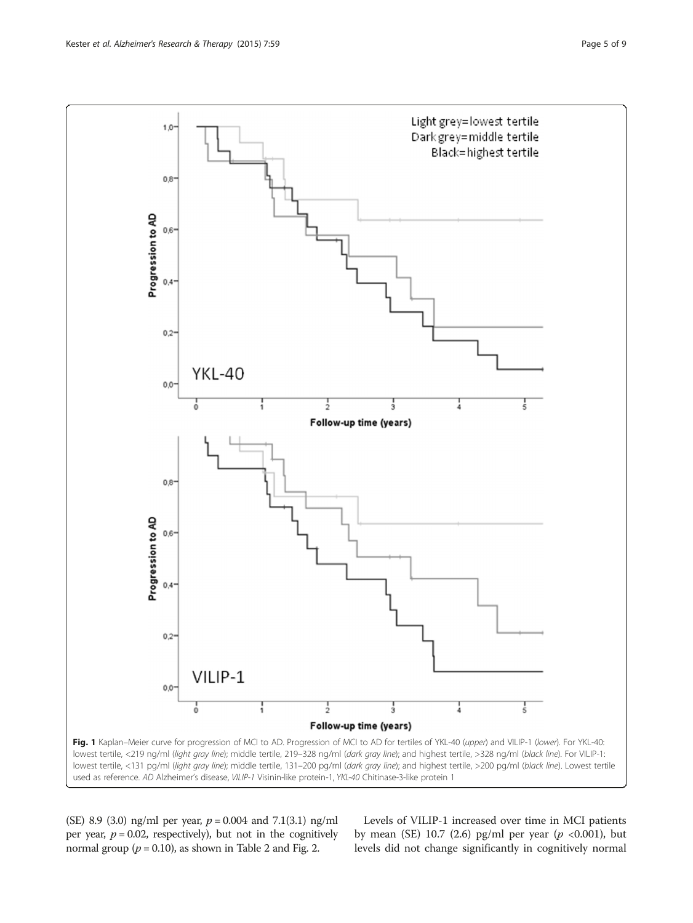<span id="page-4-0"></span>

(SE) 8.9 (3.0) ng/ml per year,  $p = 0.004$  and 7.1(3.1) ng/ml per year,  $p = 0.02$ , respectively), but not in the cognitively normal group ( $p = 0.10$ ), as shown in Table [2](#page-3-0) and Fig. [2.](#page-5-0)

Levels of VILIP-1 increased over time in MCI patients by mean (SE) 10.7 (2.6) pg/ml per year ( $p < 0.001$ ), but levels did not change significantly in cognitively normal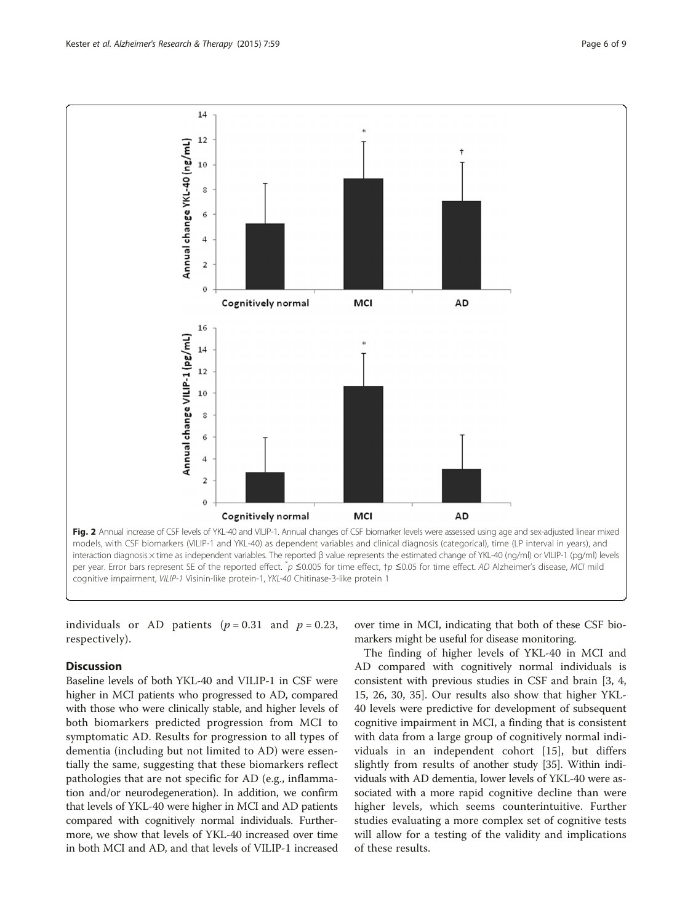<span id="page-5-0"></span>

individuals or AD patients ( $p = 0.31$  and  $p = 0.23$ , respectively).

## **Discussion**

Baseline levels of both YKL-40 and VILIP-1 in CSF were higher in MCI patients who progressed to AD, compared with those who were clinically stable, and higher levels of both biomarkers predicted progression from MCI to symptomatic AD. Results for progression to all types of dementia (including but not limited to AD) were essentially the same, suggesting that these biomarkers reflect pathologies that are not specific for AD (e.g., inflammation and/or neurodegeneration). In addition, we confirm that levels of YKL-40 were higher in MCI and AD patients compared with cognitively normal individuals. Furthermore, we show that levels of YKL-40 increased over time in both MCI and AD, and that levels of VILIP-1 increased

over time in MCI, indicating that both of these CSF biomarkers might be useful for disease monitoring.

The finding of higher levels of YKL-40 in MCI and AD compared with cognitively normal individuals is consistent with previous studies in CSF and brain [[3, 4](#page-7-0), [15, 26](#page-7-0), [30](#page-8-0), [35](#page-8-0)]. Our results also show that higher YKL-40 levels were predictive for development of subsequent cognitive impairment in MCI, a finding that is consistent with data from a large group of cognitively normal individuals in an independent cohort [\[15](#page-7-0)], but differs slightly from results of another study [\[35\]](#page-8-0). Within individuals with AD dementia, lower levels of YKL-40 were associated with a more rapid cognitive decline than were higher levels, which seems counterintuitive. Further studies evaluating a more complex set of cognitive tests will allow for a testing of the validity and implications of these results.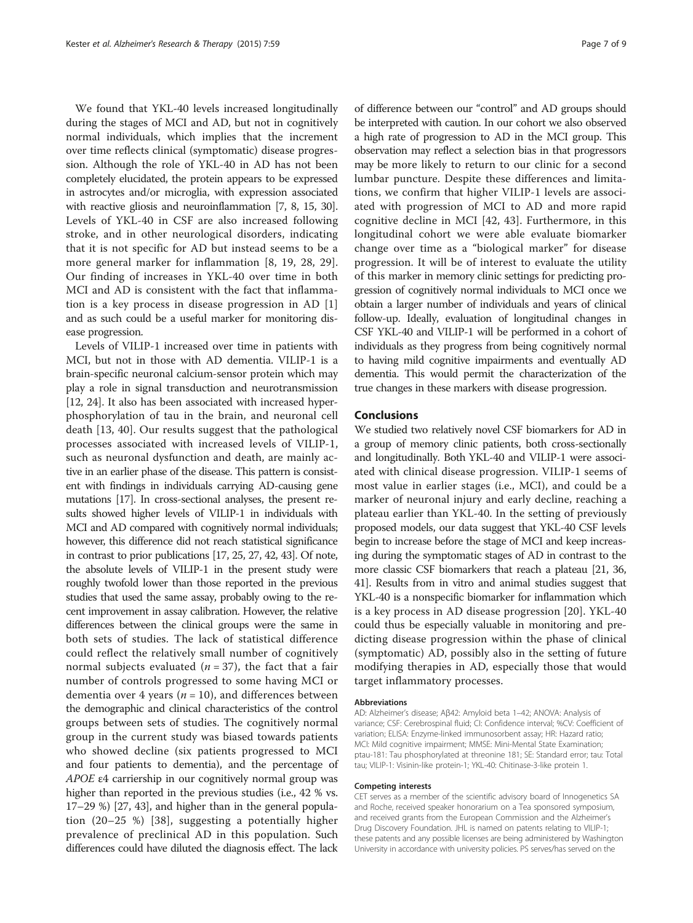We found that YKL-40 levels increased longitudinally during the stages of MCI and AD, but not in cognitively normal individuals, which implies that the increment over time reflects clinical (symptomatic) disease progression. Although the role of YKL-40 in AD has not been completely elucidated, the protein appears to be expressed in astrocytes and/or microglia, with expression associated with reactive gliosis and neuroinflammation [[7](#page-7-0), [8, 15](#page-7-0), [30](#page-8-0)]. Levels of YKL-40 in CSF are also increased following stroke, and in other neurological disorders, indicating that it is not specific for AD but instead seems to be a more general marker for inflammation [[8, 19](#page-7-0), [28, 29](#page-8-0)]. Our finding of increases in YKL-40 over time in both MCI and AD is consistent with the fact that inflammation is a key process in disease progression in AD [\[1](#page-7-0)] and as such could be a useful marker for monitoring disease progression.

Levels of VILIP-1 increased over time in patients with MCI, but not in those with AD dementia. VILIP-1 is a brain-specific neuronal calcium-sensor protein which may play a role in signal transduction and neurotransmission [[12](#page-7-0), [24](#page-7-0)]. It also has been associated with increased hyperphosphorylation of tau in the brain, and neuronal cell death [[13](#page-7-0), [40](#page-8-0)]. Our results suggest that the pathological processes associated with increased levels of VILIP-1, such as neuronal dysfunction and death, are mainly active in an earlier phase of the disease. This pattern is consistent with findings in individuals carrying AD-causing gene mutations [[17\]](#page-7-0). In cross-sectional analyses, the present results showed higher levels of VILIP-1 in individuals with MCI and AD compared with cognitively normal individuals; however, this difference did not reach statistical significance in contrast to prior publications [[17, 25,](#page-7-0) [27, 42, 43\]](#page-8-0). Of note, the absolute levels of VILIP-1 in the present study were roughly twofold lower than those reported in the previous studies that used the same assay, probably owing to the recent improvement in assay calibration. However, the relative differences between the clinical groups were the same in both sets of studies. The lack of statistical difference could reflect the relatively small number of cognitively normal subjects evaluated ( $n = 37$ ), the fact that a fair number of controls progressed to some having MCI or dementia over 4 years ( $n = 10$ ), and differences between the demographic and clinical characteristics of the control groups between sets of studies. The cognitively normal group in the current study was biased towards patients who showed decline (six patients progressed to MCI and four patients to dementia), and the percentage of APOE <sup>ε</sup>4 carriership in our cognitively normal group was higher than reported in the previous studies (i.e., 42 % vs. 17–29 %) [[27, 43](#page-8-0)], and higher than in the general population (20–25 %) [[38](#page-8-0)], suggesting a potentially higher prevalence of preclinical AD in this population. Such differences could have diluted the diagnosis effect. The lack

of difference between our "control" and AD groups should be interpreted with caution. In our cohort we also observed a high rate of progression to AD in the MCI group. This observation may reflect a selection bias in that progressors may be more likely to return to our clinic for a second lumbar puncture. Despite these differences and limitations, we confirm that higher VILIP-1 levels are associated with progression of MCI to AD and more rapid cognitive decline in MCI [\[42, 43](#page-8-0)]. Furthermore, in this longitudinal cohort we were able evaluate biomarker change over time as a "biological marker" for disease progression. It will be of interest to evaluate the utility of this marker in memory clinic settings for predicting progression of cognitively normal individuals to MCI once we obtain a larger number of individuals and years of clinical follow-up. Ideally, evaluation of longitudinal changes in CSF YKL-40 and VILIP-1 will be performed in a cohort of individuals as they progress from being cognitively normal to having mild cognitive impairments and eventually AD dementia. This would permit the characterization of the true changes in these markers with disease progression.

#### Conclusions

We studied two relatively novel CSF biomarkers for AD in a group of memory clinic patients, both cross-sectionally and longitudinally. Both YKL-40 and VILIP-1 were associated with clinical disease progression. VILIP-1 seems of most value in earlier stages (i.e., MCI), and could be a marker of neuronal injury and early decline, reaching a plateau earlier than YKL-40. In the setting of previously proposed models, our data suggest that YKL-40 CSF levels begin to increase before the stage of MCI and keep increasing during the symptomatic stages of AD in contrast to the more classic CSF biomarkers that reach a plateau [[21](#page-7-0), [36](#page-8-0), [41](#page-8-0)]. Results from in vitro and animal studies suggest that YKL-40 is a nonspecific biomarker for inflammation which is a key process in AD disease progression [[20\]](#page-7-0). YKL-40 could thus be especially valuable in monitoring and predicting disease progression within the phase of clinical (symptomatic) AD, possibly also in the setting of future modifying therapies in AD, especially those that would target inflammatory processes.

#### Abbreviations

AD: Alzheimer's disease; Aβ42: Amyloid beta 1–42; ANOVA: Analysis of variance; CSF: Cerebrospinal fluid; CI: Confidence interval; %CV: Coefficient of variation; ELISA: Enzyme-linked immunosorbent assay; HR: Hazard ratio; MCI: Mild cognitive impairment; MMSE: Mini-Mental State Examination; ptau-181: Tau phosphorylated at threonine 181; SE: Standard error; tau: Total tau; VILIP-1: Visinin-like protein-1; YKL-40: Chitinase-3-like protein 1.

#### Competing interests

CET serves as a member of the scientific advisory board of Innogenetics SA and Roche, received speaker honorarium on a Tea sponsored symposium, and received grants from the European Commission and the Alzheimer's Drug Discovery Foundation. JHL is named on patents relating to VILIP-1; these patents and any possible licenses are being administered by Washington University in accordance with university policies. PS serves/has served on the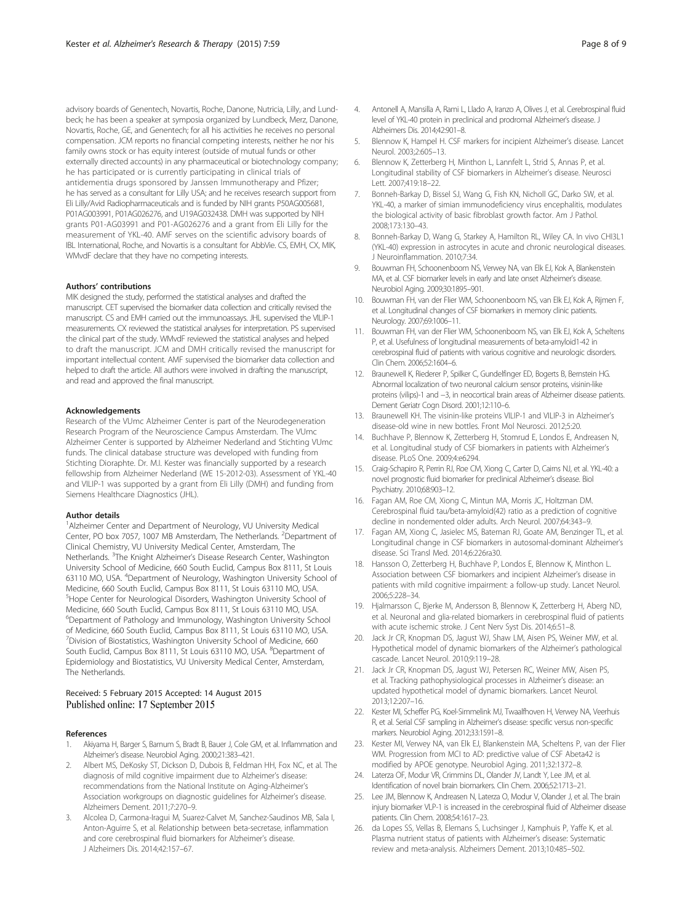<span id="page-7-0"></span>advisory boards of Genentech, Novartis, Roche, Danone, Nutricia, Lilly, and Lundbeck; he has been a speaker at symposia organized by Lundbeck, Merz, Danone, Novartis, Roche, GE, and Genentech; for all his activities he receives no personal compensation. JCM reports no financial competing interests, neither he nor his family owns stock or has equity interest (outside of mutual funds or other externally directed accounts) in any pharmaceutical or biotechnology company; he has participated or is currently participating in clinical trials of antidementia drugs sponsored by Janssen Immunotherapy and Pfizer; he has served as a consultant for Lilly USA; and he receives research support from Eli Lilly/Avid Radiopharmaceuticals and is funded by NIH grants P50AG005681, P01AG003991, P01AG026276, and U19AG032438. DMH was supported by NIH grants P01-AG03991 and P01-AG026276 and a grant from Eli Lilly for the measurement of YKL-40. AMF serves on the scientific advisory boards of IBL International, Roche, and Novartis is a consultant for AbbVie. CS, EMH, CX, MIK, WMvdF declare that they have no competing interests.

#### Authors' contributions

MIK designed the study, performed the statistical analyses and drafted the manuscript. CET supervised the biomarker data collection and critically revised the manuscript. CS and EMH carried out the immunoassays. JHL supervised the VILIP-1 measurements. CX reviewed the statistical analyses for interpretation. PS supervised the clinical part of the study. WMvdF reviewed the statistical analyses and helped to draft the manuscript. JCM and DMH critically revised the manuscript for important intellectual content. AMF supervised the biomarker data collection and helped to draft the article. All authors were involved in drafting the manuscript, and read and approved the final manuscript.

#### Acknowledgements

Research of the VUmc Alzheimer Center is part of the Neurodegeneration Research Program of the Neuroscience Campus Amsterdam. The VUmc Alzheimer Center is supported by Alzheimer Nederland and Stichting VUmc funds. The clinical database structure was developed with funding from Stichting Dioraphte. Dr. M.I. Kester was financially supported by a research fellowship from Alzheimer Nederland (WE 15-2012-03). Assessment of YKL-40 and VILIP-1 was supported by a grant from Eli Lilly (DMH) and funding from Siemens Healthcare Diagnostics (JHL).

#### Author details

<sup>1</sup> Alzheimer Center and Department of Neurology, VU University Medical Center, PO box 7057, 1007 MB Amsterdam, The Netherlands. <sup>2</sup>Department of Clinical Chemistry, VU University Medical Center, Amsterdam, The Netherlands. <sup>3</sup>The Knight Alzheimer's Disease Research Center, Washington University School of Medicine, 660 South Euclid, Campus Box 8111, St Louis 63110 MO, USA. <sup>4</sup>Department of Neurology, Washington University School of Medicine, 660 South Euclid, Campus Box 8111, St Louis 63110 MO, USA. <sup>5</sup>Hope Center for Neurological Disorders, Washington University School of Medicine, 660 South Euclid, Campus Box 8111, St Louis 63110 MO, USA. 6 Department of Pathology and Immunology, Washington University School of Medicine, 660 South Euclid, Campus Box 8111, St Louis 63110 MO, USA. <sup>7</sup> Division of Biostatistics, Washington University School of Medicine, 660 South Euclid, Campus Box 8111, St Louis 63110 MO, USA. <sup>8</sup>Department of Epidemiology and Biostatistics, VU University Medical Center, Amsterdam, The Netherlands.

## Received: 5 February 2015 Accepted: 14 August 2015 Published online: 17 September 2015

#### References

- 1. Akiyama H, Barger S, Barnum S, Bradt B, Bauer J, Cole GM, et al. Inflammation and Alzheimer's disease. Neurobiol Aging. 2000;21:383–421.
- 2. Albert MS, DeKosky ST, Dickson D, Dubois B, Feldman HH, Fox NC, et al. The diagnosis of mild cognitive impairment due to Alzheimer's disease: recommendations from the National Institute on Aging-Alzheimer's Association workgroups on diagnostic guidelines for Alzheimer's disease. Alzheimers Dement. 2011;7:270–9.
- 3. Alcolea D, Carmona-Iragui M, Suarez-Calvet M, Sanchez-Saudinos MB, Sala I, Anton-Aguirre S, et al. Relationship between beta-secretase, inflammation and core cerebrospinal fluid biomarkers for Alzheimer's disease. J Alzheimers Dis. 2014;42:157–67.
- 4. Antonell A, Mansilla A, Rami L, Llado A, Iranzo A, Olives J, et al. Cerebrospinal fluid level of YKL-40 protein in preclinical and prodromal Alzheimer's disease. J Alzheimers Dis. 2014;42:901–8.
- 5. Blennow K, Hampel H. CSF markers for incipient Alzheimer's disease. Lancet Neurol. 2003;2:605–13.
- 6. Blennow K, Zetterberg H, Minthon L, Lannfelt L, Strid S, Annas P, et al. Longitudinal stability of CSF biomarkers in Alzheimer's disease. Neurosci Lett. 2007;419:18–22.
- 7. Bonneh-Barkay D, Bissel SJ, Wang G, Fish KN, Nicholl GC, Darko SW, et al. YKL-40, a marker of simian immunodeficiency virus encephalitis, modulates the biological activity of basic fibroblast growth factor. Am J Pathol. 2008;173:130–43.
- 8. Bonneh-Barkay D, Wang G, Starkey A, Hamilton RL, Wiley CA. In vivo CHI3L1 (YKL-40) expression in astrocytes in acute and chronic neurological diseases. J Neuroinflammation. 2010;7:34.
- 9. Bouwman FH, Schoonenboom NS, Verwey NA, van Elk EJ, Kok A, Blankenstein MA, et al. CSF biomarker levels in early and late onset Alzheimer's disease. Neurobiol Aging. 2009;30:1895–901.
- 10. Bouwman FH, van der Flier WM, Schoonenboom NS, van Elk EJ, Kok A, Rijmen F, et al. Longitudinal changes of CSF biomarkers in memory clinic patients. Neurology. 2007;69:1006–11.
- 11. Bouwman FH, van der Flier WM, Schoonenboom NS, van Elk EJ, Kok A, Scheltens P, et al. Usefulness of longitudinal measurements of beta-amyloid1-42 in cerebrospinal fluid of patients with various cognitive and neurologic disorders. Clin Chem. 2006;52:1604–6.
- 12. Braunewell K, Riederer P, Spilker C, Gundelfinger ED, Bogerts B, Bernstein HG. Abnormal localization of two neuronal calcium sensor proteins, visinin-like proteins (vilips)-1 and −3, in neocortical brain areas of Alzheimer disease patients. Dement Geriatr Cogn Disord. 2001;12:110–6.
- 13. Braunewell KH. The visinin-like proteins VILIP-1 and VILIP-3 in Alzheimer's disease-old wine in new bottles. Front Mol Neurosci. 2012;5:20.
- 14. Buchhave P, Blennow K, Zetterberg H, Stomrud E, Londos E, Andreasen N, et al. Longitudinal study of CSF biomarkers in patients with Alzheimer's disease. PLoS One. 2009;4:e6294.
- 15. Craig-Schapiro R, Perrin RJ, Roe CM, Xiong C, Carter D, Cairns NJ, et al. YKL-40: a novel prognostic fluid biomarker for preclinical Alzheimer's disease. Biol Psychiatry. 2010;68:903–12.
- 16. Fagan AM, Roe CM, Xiong C, Mintun MA, Morris JC, Holtzman DM. Cerebrospinal fluid tau/beta-amyloid(42) ratio as a prediction of cognitive decline in nondemented older adults. Arch Neurol. 2007;64:343–9.
- 17. Fagan AM, Xiong C, Jasielec MS, Bateman RJ, Goate AM, Benzinger TL, et al. Longitudinal change in CSF biomarkers in autosomal-dominant Alzheimer's disease. Sci Transl Med. 2014;6:226ra30.
- 18. Hansson O, Zetterberg H, Buchhave P, Londos E, Blennow K, Minthon L. Association between CSF biomarkers and incipient Alzheimer's disease in patients with mild cognitive impairment: a follow-up study. Lancet Neurol. 2006;5:228–34.
- 19. Hjalmarsson C, Bjerke M, Andersson B, Blennow K, Zetterberg H, Aberg ND, et al. Neuronal and glia-related biomarkers in cerebrospinal fluid of patients with acute ischemic stroke. J Cent Nerv Syst Dis. 2014;6:51–8.
- 20. Jack Jr CR, Knopman DS, Jagust WJ, Shaw LM, Aisen PS, Weiner MW, et al. Hypothetical model of dynamic biomarkers of the Alzheimer's pathological cascade. Lancet Neurol. 2010;9:119–28.
- 21. Jack Jr CR, Knopman DS, Jagust WJ, Petersen RC, Weiner MW, Aisen PS, et al. Tracking pathophysiological processes in Alzheimer's disease: an updated hypothetical model of dynamic biomarkers. Lancet Neurol. 2013;12:207–16.
- 22. Kester MI, Scheffer PG, Koel-Simmelink MJ, Twaalfhoven H, Verwey NA, Veerhuis R, et al. Serial CSF sampling in Alzheimer's disease: specific versus non-specific markers. Neurobiol Aging. 2012;33:1591–8.
- 23. Kester MI, Verwey NA, van Elk EJ, Blankenstein MA, Scheltens P, van der Flier WM. Progression from MCI to AD: predictive value of CSF Abeta42 is modified by APOE genotype. Neurobiol Aging. 2011;32:1372–8.
- 24. Laterza OF, Modur VR, Crimmins DL, Olander JV, Landt Y, Lee JM, et al. Identification of novel brain biomarkers. Clin Chem. 2006;52:1713–21.
- 25. Lee JM, Blennow K, Andreasen N, Laterza O, Modur V, Olander J, et al. The brain injury biomarker VLP-1 is increased in the cerebrospinal fluid of Alzheimer disease patients. Clin Chem. 2008;54:1617–23.
- 26. da Lopes SS, Vellas B, Elemans S, Luchsinger J, Kamphuis P, Yaffe K, et al. Plasma nutrient status of patients with Alzheimer's disease: Systematic review and meta-analysis. Alzheimers Dement. 2013;10:485–502.